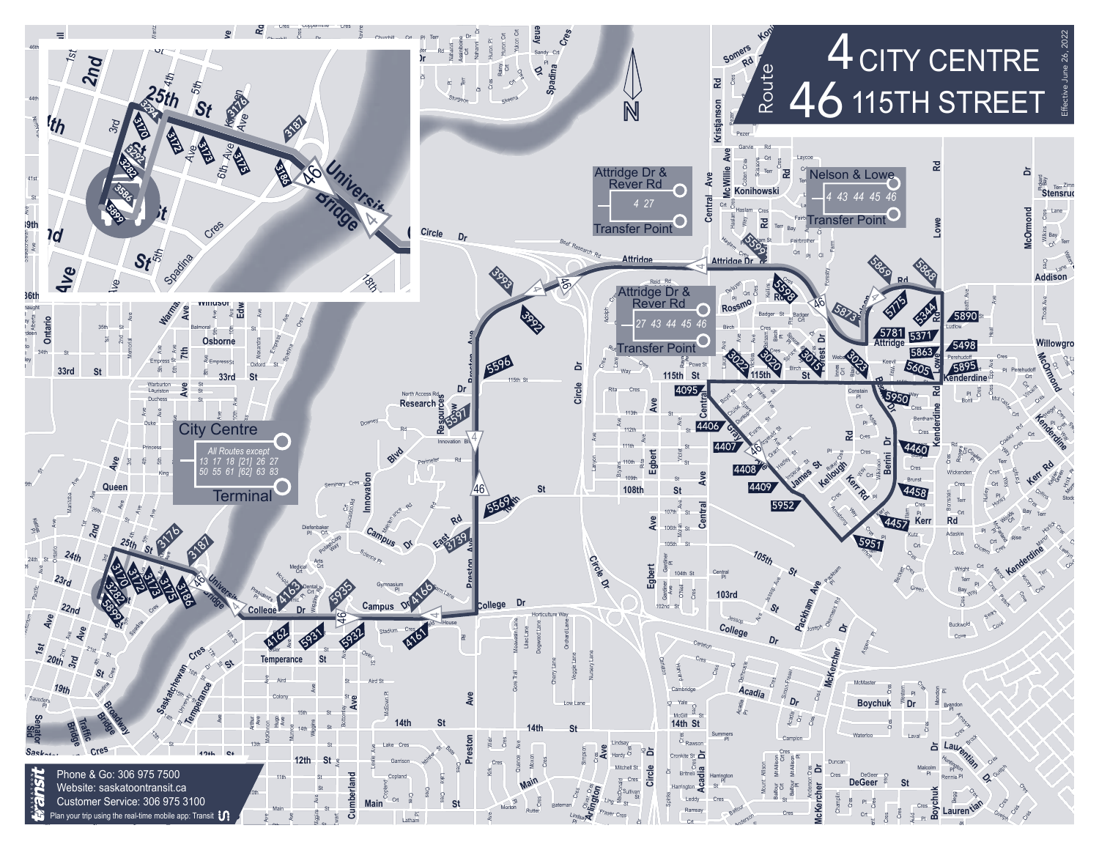